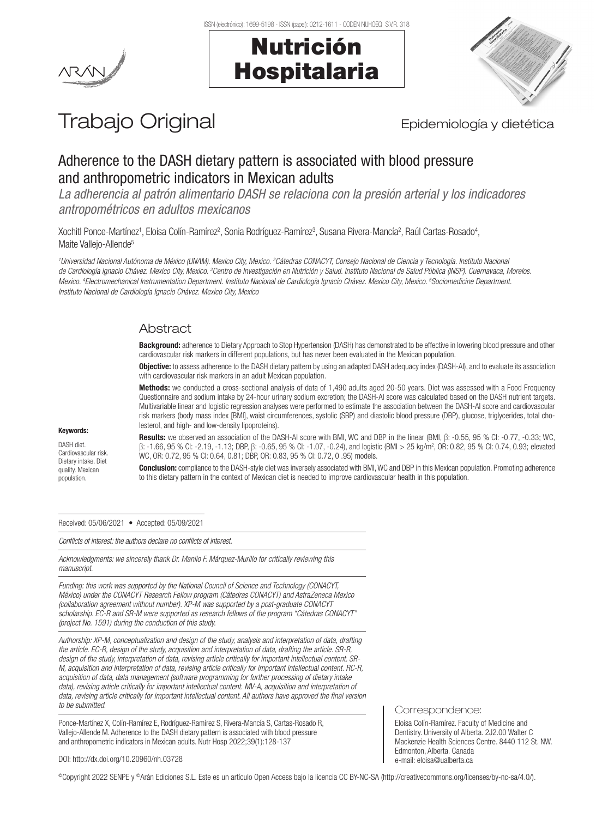



# Trabajo Original **Epidemiología y dietética**

## Adherence to the DASH dietary pattern is associated with blood pressure and anthropometric indicators in Mexican adults

*La adherencia al patrón alimentario DASH se relaciona con la presión arterial y los indicadores antropométricos en adultos mexicanos*

Xochitl Ponce-Martínez<sup>1</sup>, Eloisa Colín-Ramírez<sup>2</sup>, Sonia Rodríguez-Ramírez<sup>3</sup>, Susana Rivera-Mancía<sup>2</sup>, Raúl Cartas-Rosado<sup>4</sup>, Maite Vallejo-Allende<sup>5</sup>

*1 Universidad Nacional Autónoma de México (UNAM). Mexico City, Mexico. 2 Cátedras CONACYT, Consejo Nacional de Ciencia y Tecnología. Instituto Nacional*  de Cardiología Ignacio Chávez. Mexico City, Mexico. <sup>3</sup>Centro de Investigación en Nutrición y Salud. Instituto Nacional de Salud Pública (INSP). Cuernavaca, Morelos. *Mexico. 4 Electromechanical Instrumentation Department. Instituto Nacional de Cardiología Ignacio Chávez. Mexico City, Mexico. 5 Sociomedicine Department. Instituto Nacional de Cardiología Ignacio Chávez. Mexico City, Mexico*

### Abstract

Background: adherence to Dietary Approach to Stop Hypertension (DASH) has demonstrated to be effective in lowering blood pressure and other cardiovascular risk markers in different populations, but has never been evaluated in the Mexican population.

Objective: to assess adherence to the DASH dietary pattern by using an adapted DASH adequacy index (DASH-AI), and to evaluate its association with cardiovascular risk markers in an adult Mexican population.

Methods: we conducted a cross-sectional analysis of data of 1,490 adults aged 20-50 years. Diet was assessed with a Food Frequency Questionnaire and sodium intake by 24-hour urinary sodium excretion; the DASH-AI score was calculated based on the DASH nutrient targets. Multivariable linear and logistic regression analyses were performed to estimate the association between the DASH-AI score and cardiovascular risk markers (body mass index [BMI], waist circumferences, systolic (SBP) and diastolic blood pressure (DBP), glucose, triglycerides, total cholesterol, and high- and low-density lipoproteins).

#### Keywords:

DASH diet. Cardiovascular risk. Dietary intake. Diet quality. Mexican population.

Results: we observed an association of the DASH-AI score with BMI, WC and DBP in the linear (BMI, β: -0.55, 95 % CI: -0.77, -0.33; WC, β: -1.66, 95 % CI: -2.19, -1.13; DBP, β: -0.65, 95 % CI: -1.07, -0.24), and logistic (BMI > 25 kg/m2 , OR: 0.82, 95 % CI: 0.74, 0.93; elevated WC, OR: 0.72, 95 % CI: 0.64, 0.81; DBP, OR: 0.83, 95 % CI: 0.72, 0 .95) models.

Conclusion: compliance to the DASH-style diet was inversely associated with BMI, WC and DBP in this Mexican population. Promoting adherence to this dietary pattern in the context of Mexican diet is needed to improve cardiovascular health in this population.

Received: 05/06/2021 • Accepted: 05/09/2021

*Conflicts of interest: the authors declare no conflicts of interest.*

*Acknowledgments: we sincerely thank Dr. Manlio F. Márquez-Murillo for critically reviewing this manuscript.* 

*Funding: this work was supported by the National Council of Science and Technology (CONACYT, México) under the CONACYT Research Fellow program (Cátedras CONACYT) and AstraZeneca Mexico (collaboration agreement without number). XP-M was supported by a post-graduate CONACYT scholarship. EC-R and SR-M were supported as research fellows of the program "Cátedras CONACYT" (project No. 1591) during the conduction of this study.*

*Authorship: XP-M, conceptualization and design of the study, analysis and interpretation of data, drafting the article. EC-R, design of the study, acquisition and interpretation of data, drafting the article. SR-R, design of the study, interpretation of data, revising article critically for important intellectual content. SR-M, acquisition and interpretation of data, revising article critically for important intellectual content. RC-R, acquisition of data, data management (software programming for further processing of dietary intake*  data), revising article critically for important intellectual content. MV-A, acquisition and interpretation of *data, revising article critically for important intellectual content. All authors have approved the final version to be submitted.*

Ponce-Martínez X, Colín-Ramírez E, Rodríguez-Ramírez S, Rivera-Mancía S, Cartas-Rosado R, Vallejo-Allende M. Adherence to the DASH dietary pattern is associated with blood pressure and anthropometric indicators in Mexican adults. Nutr Hosp 2022;39(1):128-137

Correspondence:

Eloísa Colín-Ramírez. Faculty of Medicine and Dentistry. University of Alberta. 2J2.00 Walter C Mackenzie Health Sciences Centre. 8440 112 St. NW. Edmonton, Alberta. Canada e-mail: eloisa@ualberta.ca

DOI: http://dx.doi.org/10.20960/nh.03728

©Copyright 2022 SENPE y ©Arán Ediciones S.L. Este es un artículo Open Access bajo la licencia CC BY-NC-SA (http://creativecommons.org/licenses/by-nc-sa/4.0/).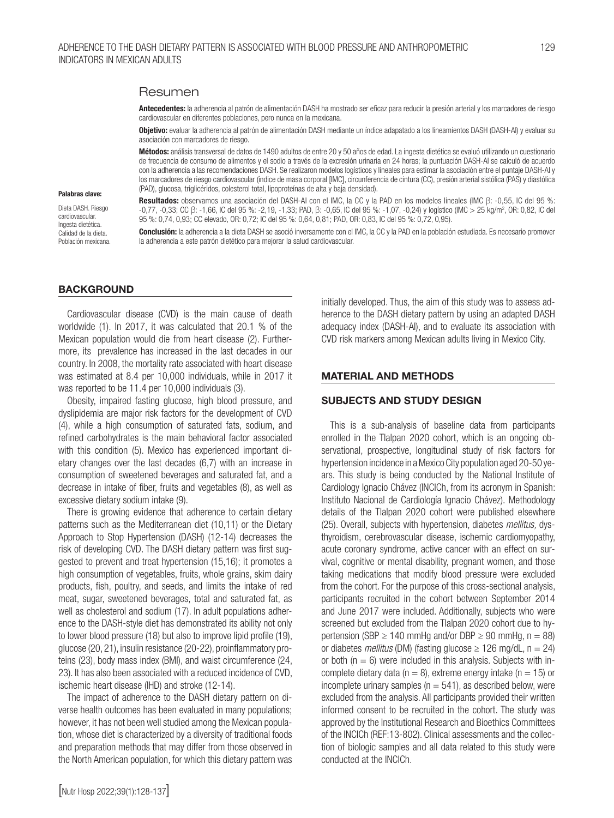#### Resumen

Antecedentes: la adherencia al patrón de alimentación DASH ha mostrado ser eficaz para reducir la presión arterial y los marcadores de riesgo cardiovascular en diferentes poblaciones, pero nunca en la mexicana.

Objetivo: evaluar la adherencia al patrón de alimentación DASH mediante un índice adapatado a los lineamientos DASH (DASH-AI) y evaluar su asociación con marcadores de riesgo.

Métodos: análisis transversal de datos de 1490 adultos de entre 20 y 50 años de edad. La ingesta dietética se evaluó utilizando un cuestionario de frecuencia de consumo de alimentos y el sodio a través de la excresión urinaria en 24 horas; la puntuación DASH-AI se calculó de acuerdo con la adherencia a las recomendaciones DASH. Se realizaron modelos logísticos y lineales para estimar la asociación entre el puntaje DASH-AI y los marcadores de riesgo cardiovascular (índice de masa corporal [IMC], circunferencia de cintura (CC), presión arterial sistólica (PAS) y diastólica (PAD), glucosa, triglicéridos, colesterol total, lipoproteínas de alta y baja densidad).

Resultados: observamos una asociación del DASH-AI con el IMC, la CC y la PAD en los modelos lineales (IMC β: -0,55, IC del 95 %: -0,77, -0,33; CC β: -1,66, IC del 95 %: -2,19, -1,33; PAD, β: -0,65, IC del 95 %: -1,07, -0,24) y logístico (IMC > 25 kg/m<sup>2</sup>, OR: 0,82, IC del 95 %: 0,74, 0,93; CC elevado, OR: 0,72; IC del 95 %: 0,64, 0,81; PAD, OR: 0,83, IC del 95 %: 0,72, 0,95).

Conclusión: la adherencia a la dieta DASH se asoció inversamente con el IMC, la CC y la PAD en la población estudiada. Es necesario promover la adherencia a este patrón dietético para mejorar la salud cardiovascular.

#### **BACKGROUND**

Palabras clave: Dieta DASH, Riesgo cardiovascular. Ingesta dietética. Calidad de la dieta. Población mexicana.

Cardiovascular disease (CVD) is the main cause of death worldwide (1). In 2017, it was calculated that 20.1 % of the Mexican population would die from heart disease (2). Furthermore, its prevalence has increased in the last decades in our country. In 2008, the mortality rate associated with heart disease was estimated at 8.4 per 10,000 individuals, while in 2017 it was reported to be 11.4 per 10,000 individuals (3).

Obesity, impaired fasting glucose, high blood pressure, and dyslipidemia are major risk factors for the development of CVD (4), while a high consumption of saturated fats, sodium, and refined carbohydrates is the main behavioral factor associated with this condition (5). Mexico has experienced important dietary changes over the last decades (6,7) with an increase in consumption of sweetened beverages and saturated fat, and a decrease in intake of fiber, fruits and vegetables (8), as well as excessive dietary sodium intake (9).

There is growing evidence that adherence to certain dietary patterns such as the Mediterranean diet (10,11) or the Dietary Approach to Stop Hypertension (DASH) (12-14) decreases the risk of developing CVD. The DASH dietary pattern was first suggested to prevent and treat hypertension (15,16); it promotes a high consumption of vegetables, fruits, whole grains, skim dairy products, fish, poultry, and seeds, and limits the intake of red meat, sugar, sweetened beverages, total and saturated fat, as well as cholesterol and sodium (17). In adult populations adherence to the DASH-style diet has demonstrated its ability not only to lower blood pressure (18) but also to improve lipid profile (19), glucose (20, 21), insulin resistance (20-22), proinflammatory proteins (23), body mass index (BMI), and waist circumference (24, 23). It has also been associated with a reduced incidence of CVD, ischemic heart disease (IHD) and stroke (12-14).

The impact of adherence to the DASH dietary pattern on diverse health outcomes has been evaluated in many populations; however, it has not been well studied among the Mexican population, whose diet is characterized by a diversity of traditional foods and preparation methods that may differ from those observed in the North American population, for which this dietary pattern was initially developed. Thus, the aim of this study was to assess adherence to the DASH dietary pattern by using an adapted DASH adequacy index (DASH-AI), and to evaluate its association with CVD risk markers among Mexican adults living in Mexico City.

#### MATERIAL AND METHODS

#### SUBJECTS AND STUDY DESIGN

This is a sub-analysis of baseline data from participants enrolled in the Tlalpan 2020 cohort, which is an ongoing observational, prospective, longitudinal study of risk factors for hypertension incidence in a Mexico City population aged 20-50 years. This study is being conducted by the National Institute of Cardiology Ignacio Chávez (INCICh, from its acronym in Spanish: Instituto Nacional de Cardiología Ignacio Chávez). Methodology details of the Tlalpan 2020 cohort were published elsewhere (25). Overall, subjects with hypertension, diabetes *mellitus,* dysthyroidism, cerebrovascular disease, ischemic cardiomyopathy, acute coronary syndrome, active cancer with an effect on survival, cognitive or mental disability, pregnant women, and those taking medications that modify blood pressure were excluded from the cohort. For the purpose of this cross-sectional analysis, participants recruited in the cohort between September 2014 and June 2017 were included. Additionally, subjects who were screened but excluded from the Tlalpan 2020 cohort due to hypertension (SBP  $\geq$  140 mmHg and/or DBP  $\geq$  90 mmHg, n = 88) or diabetes *mellitus* (DM) (fasting glucose  $\geq$  126 mg/dL, n = 24) or both ( $n = 6$ ) were included in this analysis. Subjects with incomplete dietary data ( $n = 8$ ), extreme energy intake ( $n = 15$ ) or incomplete urinary samples ( $n = 541$ ), as described below, were excluded from the analysis. All participants provided their written informed consent to be recruited in the cohort. The study was approved by the Institutional Research and Bioethics Committees of the INCICh (REF:13-802). Clinical assessments and the collection of biologic samples and all data related to this study were conducted at the INCICh.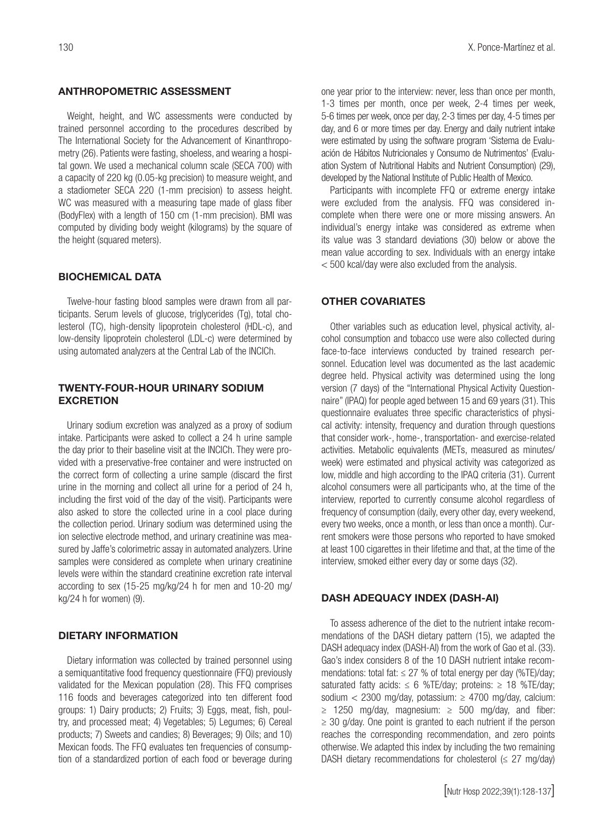#### ANTHROPOMETRIC ASSESSMENT

Weight, height, and WC assessments were conducted by trained personnel according to the procedures described by The International Society for the Advancement of Kinanthropometry (26). Patients were fasting, shoeless, and wearing a hospital gown. We used a mechanical column scale (SECA 700) with a capacity of 220 kg (0.05-kg precision) to measure weight, and a stadiometer SECA 220 (1-mm precision) to assess height. WC was measured with a measuring tape made of glass fiber (BodyFlex) with a length of 150 cm (1-mm precision). BMI was computed by dividing body weight (kilograms) by the square of the height (squared meters).

#### BIOCHEMICAL DATA

Twelve-hour fasting blood samples were drawn from all participants. Serum levels of glucose, triglycerides (Tg), total cholesterol (TC), high-density lipoprotein cholesterol (HDL-c), and low-density lipoprotein cholesterol (LDL-c) were determined by using automated analyzers at the Central Lab of the INCICh.

#### TWENTY-FOUR-HOUR URINARY SODIUM **EXCRETION**

Urinary sodium excretion was analyzed as a proxy of sodium intake. Participants were asked to collect a 24 h urine sample the day prior to their baseline visit at the INCICh. They were provided with a preservative-free container and were instructed on the correct form of collecting a urine sample (discard the first urine in the morning and collect all urine for a period of 24 h, including the first void of the day of the visit). Participants were also asked to store the collected urine in a cool place during the collection period. Urinary sodium was determined using the ion selective electrode method, and urinary creatinine was measured by Jaffe's colorimetric assay in automated analyzers. Urine samples were considered as complete when urinary creatinine levels were within the standard creatinine excretion rate interval according to sex (15-25 mg/kg/24 h for men and 10-20 mg/ kg/24 h for women) (9).

#### DIETARY INFORMATION

Dietary information was collected by trained personnel using a semiquantitative food frequency questionnaire (FFQ) previously validated for the Mexican population (28). This FFQ comprises 116 foods and beverages categorized into ten different food groups: 1) Dairy products; 2) Fruits; 3) Eggs, meat, fish, poultry, and processed meat; 4) Vegetables; 5) Legumes; 6) Cereal products; 7) Sweets and candies; 8) Beverages; 9) Oils; and 10) Mexican foods. The FFQ evaluates ten frequencies of consumption of a standardized portion of each food or beverage during one year prior to the interview: never, less than once per month, 1-3 times per month, once per week, 2-4 times per week, 5-6 times per week, once per day, 2-3 times per day, 4-5 times per day, and 6 or more times per day. Energy and daily nutrient intake were estimated by using the software program 'Sistema de Evaluación de Hábitos Nutricionales y Consumo de Nutrimentos' (Evaluation System of Nutritional Habits and Nutrient Consumption) (29), developed by the National Institute of Public Health of Mexico.

Participants with incomplete FFQ or extreme energy intake were excluded from the analysis. FFQ was considered incomplete when there were one or more missing answers. An individual's energy intake was considered as extreme when its value was 3 standard deviations (30) below or above the mean value according to sex. Individuals with an energy intake < 500 kcal/day were also excluded from the analysis.

#### OTHER COVARIATES

Other variables such as education level, physical activity, alcohol consumption and tobacco use were also collected during face-to-face interviews conducted by trained research personnel. Education level was documented as the last academic degree held. Physical activity was determined using the long version (7 days) of the "International Physical Activity Questionnaire" (IPAQ) for people aged between 15 and 69 years (31). This questionnaire evaluates three specific characteristics of physical activity: intensity, frequency and duration through questions that consider work-, home-, transportation- and exercise-related activities. Metabolic equivalents (METs, measured as minutes/ week) were estimated and physical activity was categorized as low, middle and high according to the IPAQ criteria (31). Current alcohol consumers were all participants who, at the time of the interview, reported to currently consume alcohol regardless of frequency of consumption (daily, every other day, every weekend, every two weeks, once a month, or less than once a month). Current smokers were those persons who reported to have smoked at least 100 cigarettes in their lifetime and that, at the time of the interview, smoked either every day or some days (32).

#### DASH ADEQUACY INDEX (DASH-AI)

To assess adherence of the diet to the nutrient intake recommendations of the DASH dietary pattern (15), we adapted the DASH adequacy index (DASH-AI) from the work of Gao et al*.* (33). Gao's index considers 8 of the 10 DASH nutrient intake recommendations: total fat:  $\leq$  27 % of total energy per day (%TE)/day; saturated fatty acids:  $\leq 6$  %TE/day; proteins:  $\geq 18$  %TE/day; sodium  $\langle$  2300 mg/day, potassium:  $\geq$  4700 mg/day, calcium:  $\geq$  1250 mg/day, magnesium:  $\geq$  500 mg/day, and fiber:  $\geq$  30 g/day. One point is granted to each nutrient if the person reaches the corresponding recommendation, and zero points otherwise. We adapted this index by including the two remaining DASH dietary recommendations for cholesterol  $(\leq 27 \text{ mg/day})$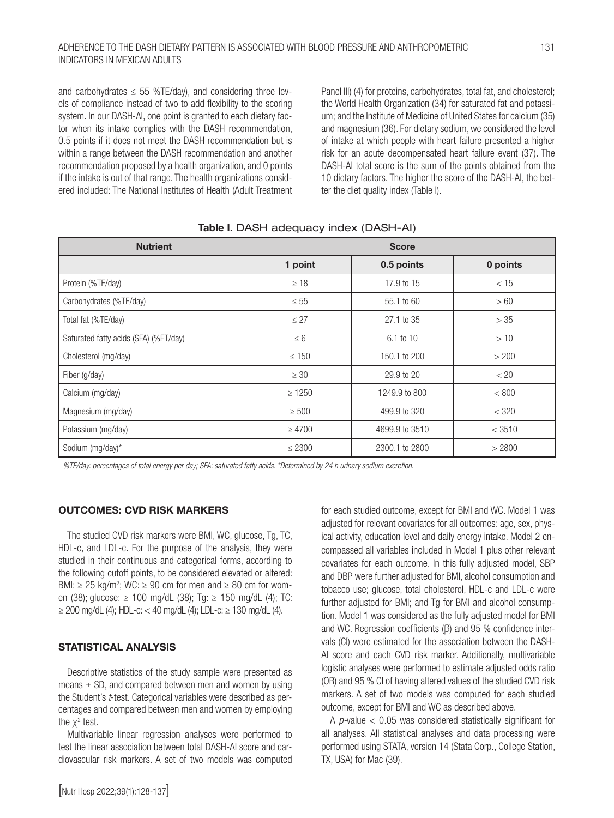#### ADHERENCE TO THE DASH DIETARY PATTERN IS ASSOCIATED WITH BLOOD PRESSURE AND ANTHROPOMETRIC 131 INDICATORS IN MEXICAN ADULTS

and carbohydrates  $\leq$  55 %TE/day), and considering three levels of compliance instead of two to add flexibility to the scoring system. In our DASH-AI, one point is granted to each dietary factor when its intake complies with the DASH recommendation, 0.5 points if it does not meet the DASH recommendation but is within a range between the DASH recommendation and another recommendation proposed by a health organization, and 0 points if the intake is out of that range. The health organizations considered included: The National Institutes of Health (Adult Treatment Panel III) (4) for proteins, carbohydrates, total fat, and cholesterol; the World Health Organization (34) for saturated fat and potassium; and the Institute of Medicine of United States for calcium (35) and magnesium (36). For dietary sodium, we considered the level of intake at which people with heart failure presented a higher risk for an acute decompensated heart failure event (37). The DASH-AI total score is the sum of the points obtained from the 10 dietary factors. The higher the score of the DASH-AI, the better the diet quality index (Table I).

| <b>Nutrient</b>                       | <b>Score</b> |                |          |  |  |
|---------------------------------------|--------------|----------------|----------|--|--|
|                                       | 1 point      | 0.5 points     | 0 points |  |  |
| Protein (%TE/day)                     | $\geq 18$    | 17.9 to 15     | < 15     |  |  |
| Carbohydrates (%TE/day)               | $\leq 55$    | 55.1 to 60     | >60      |  |  |
| Total fat (%TE/day)                   | $\leq$ 27    | 27.1 to 35     | >35      |  |  |
| Saturated fatty acids (SFA) (%ET/day) | $\leq 6$     | 6.1 to 10      | >10      |  |  |
| Cholesterol (mg/day)                  | $\leq 150$   | 150.1 to 200   | > 200    |  |  |
| Fiber (g/day)                         | $\geq 30$    | 29.9 to 20     | < 20     |  |  |
| Calcium (mg/day)                      | $\geq 1250$  | 1249.9 to 800  | < 800    |  |  |
| Magnesium (mg/day)                    | $\geq 500$   | 499.9 to 320   | < 320    |  |  |
| Potassium (mg/day)                    | $\geq 4700$  | 4699.9 to 3510 | < 3510   |  |  |
| Sodium (mg/day)*                      | $\leq 2300$  | 2300.1 to 2800 | > 2800   |  |  |

#### Table I. DASH adequacy index (DASH-AI)

*%TE/day: percentages of total energy per day; SFA: saturated fatty acids. \*Determined by 24 h urinary sodium excretion.*

#### OUTCOMES: CVD RISK MARKERS

The studied CVD risk markers were BMI, WC, glucose, Tg, TC, HDL-c, and LDL-c. For the purpose of the analysis, they were studied in their continuous and categorical forms, according to the following cutoff points, to be considered elevated or altered: BMI:  $\geq$  25 kg/m<sup>2</sup>; WC:  $\geq$  90 cm for men and  $\geq$  80 cm for women (38); glucose: ≥ 100 mg/dL (38); Tg: ≥ 150 mg/dL (4); TC: ≥ 200 mg/dL (4); HDL-c: < 40 mg/dL (4); LDL-c: ≥ 130 mg/dL (4).

#### STATISTICAL ANALYSIS

Descriptive statistics of the study sample were presented as means  $\pm$  SD, and compared between men and women by using the Student's *t*-test. Categorical variables were described as percentages and compared between men and women by employing the  $\chi^2$  test.

Multivariable linear regression analyses were performed to test the linear association between total DASH-AI score and cardiovascular risk markers. A set of two models was computed for each studied outcome, except for BMI and WC. Model 1 was adjusted for relevant covariates for all outcomes: age, sex, physical activity, education level and daily energy intake. Model 2 encompassed all variables included in Model 1 plus other relevant covariates for each outcome. In this fully adjusted model, SBP and DBP were further adjusted for BMI, alcohol consumption and tobacco use; glucose, total cholesterol, HDL-c and LDL-c were further adjusted for BMI; and Tg for BMI and alcohol consumption. Model 1 was considered as the fully adjusted model for BMI and WC. Regression coefficients (β) and 95 % confidence intervals (CI) were estimated for the association between the DASH-AI score and each CVD risk marker. Additionally, multivariable logistic analyses were performed to estimate adjusted odds ratio (OR) and 95 % CI of having altered values of the studied CVD risk markers. A set of two models was computed for each studied outcome, except for BMI and WC as described above.

A *p-*value < 0.05 was considered statistically significant for all analyses. All statistical analyses and data processing were performed using STATA, version 14 (Stata Corp., College Station, TX, USA) for Mac (39).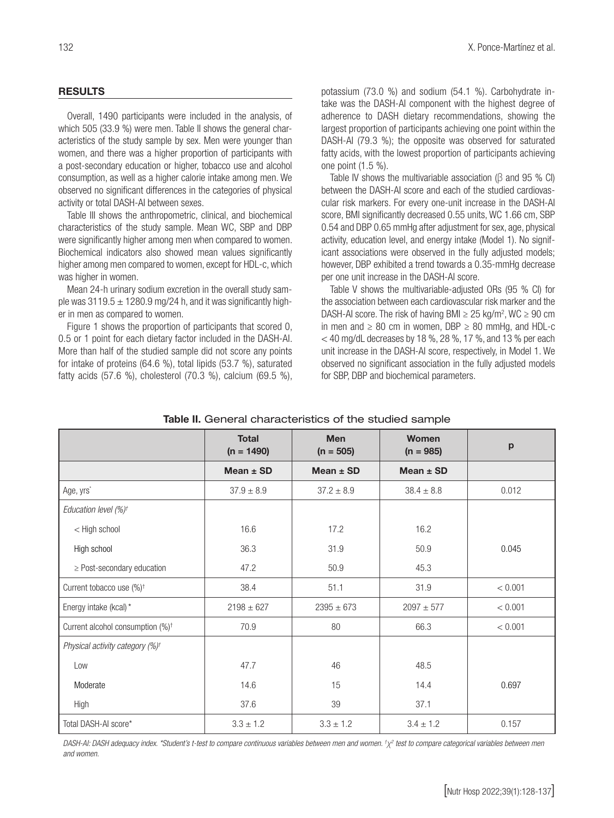#### RESULTS

Overall, 1490 participants were included in the analysis, of which 505 (33.9 %) were men. Table II shows the general characteristics of the study sample by sex. Men were younger than women, and there was a higher proportion of participants with a post-secondary education or higher, tobacco use and alcohol consumption, as well as a higher calorie intake among men. We observed no significant differences in the categories of physical activity or total DASH-AI between sexes.

Table III shows the anthropometric, clinical, and biochemical characteristics of the study sample. Mean WC, SBP and DBP were significantly higher among men when compared to women. Biochemical indicators also showed mean values significantly higher among men compared to women, except for HDL-c, which was higher in women.

Mean 24-h urinary sodium excretion in the overall study sample was  $3119.5 \pm 1280.9$  mg/24 h, and it was significantly higher in men as compared to women.

Figure 1 shows the proportion of participants that scored 0, 0.5 or 1 point for each dietary factor included in the DASH-AI. More than half of the studied sample did not score any points for intake of proteins (64.6 %), total lipids (53.7 %), saturated fatty acids (57.6 %), cholesterol (70.3 %), calcium (69.5 %), potassium (73.0 %) and sodium (54.1 %). Carbohydrate intake was the DASH-AI component with the highest degree of adherence to DASH dietary recommendations, showing the largest proportion of participants achieving one point within the DASH-AI (79.3 %); the opposite was observed for saturated fatty acids, with the lowest proportion of participants achieving one point (1.5 %).

Table IV shows the multivariable association (β and 95 % CI) between the DASH-AI score and each of the studied cardiovascular risk markers. For every one-unit increase in the DASH-AI score, BMI significantly decreased 0.55 units, WC 1.66 cm, SBP 0.54 and DBP 0.65 mmHg after adjustment for sex, age, physical activity, education level, and energy intake (Model 1). No significant associations were observed in the fully adjusted models; however, DBP exhibited a trend towards a 0.35-mmHg decrease per one unit increase in the DASH-AI score.

Table V shows the multivariable-adjusted ORs (95 % CI) for the association between each cardiovascular risk marker and the DASH-AI score. The risk of having BMI  $\geq$  25 kg/m<sup>2</sup>, WC  $\geq$  90 cm in men and  $\geq 80$  cm in women, DBP  $\geq 80$  mmHg, and HDL-c  $<$  40 mg/dL decreases by 18 %, 28 %, 17 %, and 13 % per each unit increase in the DASH-AI score, respectively, in Model 1. We observed no significant association in the fully adjusted models for SBP, DBP and biochemical parameters.

|                                              | <b>Total</b><br>$(n = 1490)$ | <b>Men</b><br>$(n = 505)$ | <b>Women</b><br>$(n = 985)$ | $\mathbf{p}$ |
|----------------------------------------------|------------------------------|---------------------------|-----------------------------|--------------|
|                                              | Mean $\pm$ SD                | Mean $\pm$ SD             | Mean $\pm$ SD               |              |
| Age, yrs <sup>*</sup>                        | $37.9 \pm 8.9$               | $37.2 \pm 8.9$            | $38.4 \pm 8.8$              | 0.012        |
| Education level (%) <sup>†</sup>             |                              |                           |                             |              |
| < High school                                | 16.6                         | 17.2                      | 16.2                        |              |
| High school                                  | 36.3                         | 31.9                      | 50.9                        | 0.045        |
| $\geq$ Post-secondary education              | 47.2                         | 50.9                      | 45.3                        |              |
| Current tobacco use (%) <sup>+</sup>         | 38.4                         | 51.1                      | 31.9                        | < 0.001      |
| Energy intake (kcal)*                        | $2198 \pm 627$               | $2395 \pm 673$            | $2097 + 577$                | < 0.001      |
| Current alcohol consumption (%) <sup>+</sup> | 70.9                         | 80                        | 66.3                        | < 0.001      |
| Physical activity category (%) <sup>+</sup>  |                              |                           |                             |              |
| Low                                          | 47.7                         | 46                        | 48.5                        |              |
| Moderate                                     | 14.6                         | 15                        | 14.4                        | 0.697        |
| High                                         | 37.6                         | 39                        | 37.1                        |              |
| Total DASH-AI score*                         | $3.3 \pm 1.2$                | $3.3 \pm 1.2$             | $3.4 \pm 1.2$               | 0.157        |

#### Table II. General characteristics of the studied sample

*DASH-AI: DASH adequacy index. \*Student's t-test to compare continuous variables between men and women. †* χ*2 test to compare categorical variables between men and women.*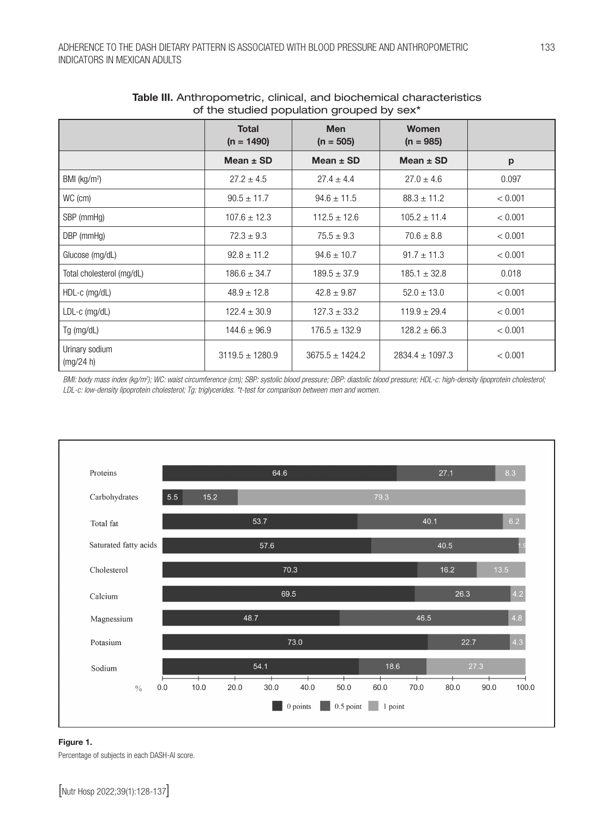| of the studied population grouped by sex- |                              |                           |                             |         |  |  |  |  |
|-------------------------------------------|------------------------------|---------------------------|-----------------------------|---------|--|--|--|--|
|                                           | <b>Total</b><br>$(n = 1490)$ | <b>Men</b><br>$(n = 505)$ | <b>Women</b><br>$(n = 985)$ |         |  |  |  |  |
|                                           | Mean $\pm$ SD                | Mean $\pm$ SD             | Mean $\pm$ SD               | p       |  |  |  |  |
| BMI ( $kg/m2$ )                           | $27.2 \pm 4.5$               | $27.4 \pm 4.4$            | $27.0 \pm 4.6$              | 0.097   |  |  |  |  |
| WC (cm)                                   | $90.5 \pm 11.7$              | $94.6 \pm 11.5$           | $88.3 \pm 11.2$             | < 0.001 |  |  |  |  |
| SBP (mmHg)                                | $107.6 \pm 12.3$             | $112.5 \pm 12.6$          | $105.2 \pm 11.4$            | < 0.001 |  |  |  |  |
| DBP (mmHg)                                | $72.3 \pm 9.3$               | $75.5 \pm 9.3$            | $70.6 \pm 8.8$              | < 0.001 |  |  |  |  |
| Glucose (mg/dL)                           | $92.8 \pm 11.2$              | $94.6 \pm 10.7$           | $91.7 \pm 11.3$             | < 0.001 |  |  |  |  |
| Total cholesterol (mg/dL)                 | $186.6 \pm 34.7$             | $189.5 \pm 37.9$          | $185.1 \pm 32.8$            | 0.018   |  |  |  |  |
| HDL-c (mg/dL)                             | $48.9 \pm 12.8$              | $42.8 \pm 9.87$           | $52.0 \pm 13.0$             | < 0.001 |  |  |  |  |
| $LDL-c$ (mg/dL)                           | $122.4 \pm 30.9$             | $127.3 \pm 33.2$          | $119.9 \pm 29.4$            | < 0.001 |  |  |  |  |
| Tg (mg/dL)                                | $144.6 \pm 96.9$             | $176.5 \pm 132.9$         | $128.2 \pm 66.3$            | < 0.001 |  |  |  |  |
| Urinary sodium<br>(mg/24 h)               | $3119.5 \pm 1280.9$          | $3675.5 \pm 1424.2$       | $2834.4 \pm 1097.3$         | < 0.001 |  |  |  |  |

#### Table III. Anthropometric, clinical, and biochemical characteristics of the studied population grouped by sex\*

*BMI: body mass index (kg/m2 ); WC: waist circumference (cm); SBP: systolic blood pressure; DBP: diastolic blood pressure; HDL-c: high-density lipoprotein cholesterol; LDL-c: low-density lipoprotein cholesterol; Tg: triglycerides. \*t-test for comparison between men and women.*



#### Figure 1.

Percentage of subjects in each DASH-AI score.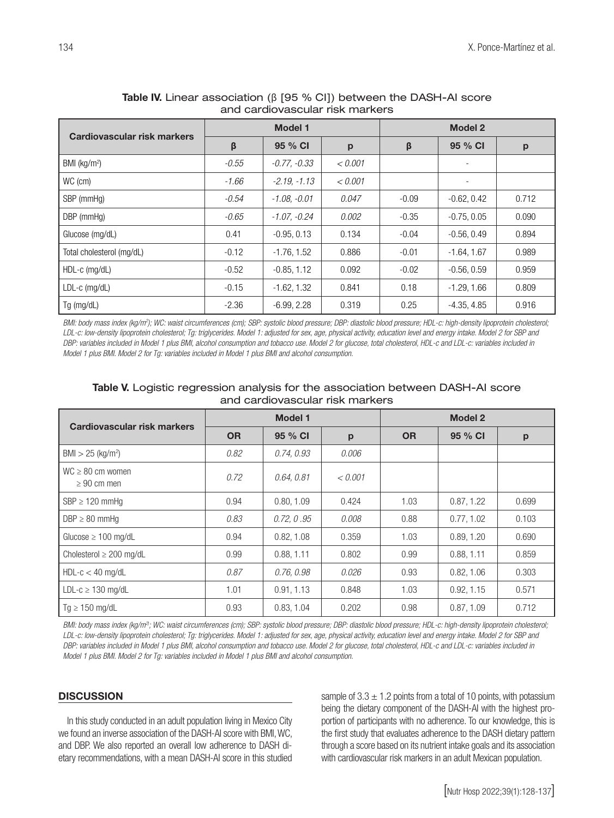| Cardiovascular risk markers | <b>Model 1</b> |                |         | <b>Model 2</b> |               |       |
|-----------------------------|----------------|----------------|---------|----------------|---------------|-------|
|                             | β              | 95 % CI        | p       | β              | 95 % CI       | p     |
| BMI ( $kg/m2$ )             | $-0.55$        | $-0.77, -0.33$ | < 0.001 |                |               |       |
| WC (cm)                     | $-1.66$        | $-2.19 - 1.13$ | < 0.001 |                |               |       |
| SBP (mmHg)                  | $-0.54$        | $-1.08, -0.01$ | 0.047   | $-0.09$        | $-0.62, 0.42$ | 0.712 |
| DBP (mmHg)                  | $-0.65$        | $-1.07, -0.24$ | 0.002   | $-0.35$        | $-0.75, 0.05$ | 0.090 |
| Glucose (mg/dL)             | 0.41           | $-0.95, 0.13$  | 0.134   | $-0.04$        | $-0.56, 0.49$ | 0.894 |
| Total cholesterol (mg/dL)   | $-0.12$        | $-1.76.1.52$   | 0.886   | $-0.01$        | $-1.64.1.67$  | 0.989 |
| $HDL-c$ (mg/dL)             | $-0.52$        | $-0.85, 1.12$  | 0.092   | $-0.02$        | $-0.56, 0.59$ | 0.959 |
| $LDL-c$ (mg/dL)             | $-0.15$        | $-1.62, 1.32$  | 0.841   | 0.18           | $-1.29, 1.66$ | 0.809 |
| Tg (mg/dL)                  | $-2.36$        | $-6.99, 2.28$  | 0.319   | 0.25           | $-4.35, 4.85$ | 0.916 |

#### Table IV. Linear association (β [95 % CI]) between the DASH-AI score and cardiovascular risk markers

*BMI: body mass index (kg/m2 ); WC: waist circumferences (cm); SBP: systolic blood pressure; DBP: diastolic blood pressure; HDL-c: high-density lipoprotein cholesterol; LDL-c: low-density lipoprotein cholesterol; Tg: triglycerides. Model 1: adjusted for sex, age, physical activity, education level and energy intake. Model 2 for SBP and DBP: variables included in Model 1 plus BMI, alcohol consumption and tobacco use. Model 2 for glucose, total cholesterol, HDL-c and LDL-c: variables included in Model 1 plus BMI. Model 2 for Tg: variables included in Model 1 plus BMI and alcohol consumption.*

| Cardiovascular risk markers              | <b>Model 1</b> |            |         | <b>Model 2</b> |            |       |
|------------------------------------------|----------------|------------|---------|----------------|------------|-------|
|                                          | <b>OR</b>      | 95 % CI    | p       | <b>OR</b>      | 95 % CI    | p     |
| $BMI > 25$ (kg/m <sup>2</sup> )          | 0.82           | 0.74, 0.93 | 0.006   |                |            |       |
| $WC \ge 80$ cm women<br>$\geq 90$ cm men | 0.72           | 0.64, 0.81 | < 0.001 |                |            |       |
| $SBP \geq 120$ mmHq                      | 0.94           | 0.80.1.09  | 0.424   | 1.03           | 0.87, 1.22 | 0.699 |
| $DBP \geq 80$ mmHg                       | 0.83           | 0.72, 0.95 | 0.008   | 0.88           | 0.77, 1.02 | 0.103 |
| Glucose $\geq 100$ mg/dL                 | 0.94           | 0.82, 1.08 | 0.359   | 1.03           | 0.89, 1.20 | 0.690 |
| Cholesterol $\geq 200$ mg/dL             | 0.99           | 0.88, 1.11 | 0.802   | 0.99           | 0.88, 1.11 | 0.859 |
| $HDL-c < 40$ mg/dL                       | 0.87           | 0.76, 0.98 | 0.026   | 0.93           | 0.82, 1.06 | 0.303 |
| LDL-c $\geq$ 130 mg/dL                   | 1.01           | 0.91, 1.13 | 0.848   | 1.03           | 0.92, 1.15 | 0.571 |
| $Tg \ge 150$ mg/dL                       | 0.93           | 0.83, 1.04 | 0.202   | 0.98           | 0.87, 1.09 | 0.712 |

#### Table V. Logistic regression analysis for the association between DASH-AI score and cardiovascular risk markers

*BMI: body mass index (kg/m2); WC: waist circumferences (cm); SBP: systolic blood pressure; DBP: diastolic blood pressure; HDL-c: high-density lipoprotein cholesterol; LDL-c: low-density lipoprotein cholesterol; Tg: triglycerides. Model 1: adjusted for sex, age, physical activity, education level and energy intake. Model 2 for SBP and DBP: variables included in Model 1 plus BMI, alcohol consumption and tobacco use. Model 2 for glucose, total cholesterol, HDL-c and LDL-c: variables included in Model 1 plus BMI. Model 2 for Tg: variables included in Model 1 plus BMI and alcohol consumption.*

#### **DISCUSSION**

In this study conducted in an adult population living in Mexico City we found an inverse association of the DASH-AI score with BMI, WC, and DBP. We also reported an overall low adherence to DASH dietary recommendations, with a mean DASH-AI score in this studied sample of  $3.3 \pm 1.2$  points from a total of 10 points, with potassium being the dietary component of the DASH-AI with the highest proportion of participants with no adherence. To our knowledge, this is the first study that evaluates adherence to the DASH dietary pattern through a score based on its nutrient intake goals and its association with cardiovascular risk markers in an adult Mexican population.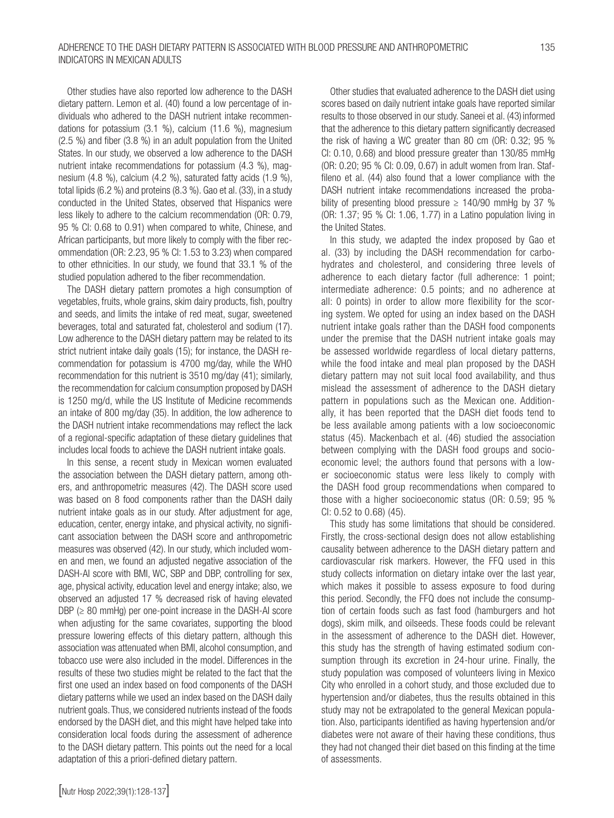Other studies have also reported low adherence to the DASH dietary pattern. Lemon et al. (40) found a low percentage of individuals who adhered to the DASH nutrient intake recommendations for potassium (3.1 %), calcium (11.6 %), magnesium (2.5 %) and fiber (3.8 %) in an adult population from the United States. In our study, we observed a low adherence to the DASH nutrient intake recommendations for potassium (4.3 %), magnesium (4.8 %), calcium (4.2 %), saturated fatty acids (1.9 %), total lipids (6.2 %) and proteins (8.3 %). Gao et al. (33), in a study conducted in the United States, observed that Hispanics were less likely to adhere to the calcium recommendation (OR: 0.79, 95 % CI: 0.68 to 0.91) when compared to white, Chinese, and African participants, but more likely to comply with the fiber recommendation (OR: 2.23, 95 % CI: 1.53 to 3.23) when compared to other ethnicities. In our study, we found that 33.1 % of the studied population adhered to the fiber recommendation.

The DASH dietary pattern promotes a high consumption of vegetables, fruits, whole grains, skim dairy products, fish, poultry and seeds, and limits the intake of red meat, sugar, sweetened beverages, total and saturated fat, cholesterol and sodium (17). Low adherence to the DASH dietary pattern may be related to its strict nutrient intake daily goals (15); for instance, the DASH recommendation for potassium is 4700 mg/day, while the WHO recommendation for this nutrient is 3510 mg/day (41); similarly, the recommendation for calcium consumption proposed by DASH is 1250 mg/d, while the US Institute of Medicine recommends an intake of 800 mg/day (35). In addition, the low adherence to the DASH nutrient intake recommendations may reflect the lack of a regional-specific adaptation of these dietary guidelines that includes local foods to achieve the DASH nutrient intake goals.

In this sense, a recent study in Mexican women evaluated the association between the DASH dietary pattern, among others, and anthropometric measures (42). The DASH score used was based on 8 food components rather than the DASH daily nutrient intake goals as in our study. After adjustment for age, education, center, energy intake, and physical activity, no significant association between the DASH score and anthropometric measures was observed (42). In our study, which included women and men, we found an adjusted negative association of the DASH-AI score with BMI, WC, SBP and DBP, controlling for sex, age, physical activity, education level and energy intake; also, we observed an adjusted 17 % decreased risk of having elevated  $DBP \geq 80$  mmHg) per one-point increase in the DASH-AI score when adjusting for the same covariates, supporting the blood pressure lowering effects of this dietary pattern, although this association was attenuated when BMI, alcohol consumption, and tobacco use were also included in the model. Differences in the results of these two studies might be related to the fact that the first one used an index based on food components of the DASH dietary patterns while we used an index based on the DASH daily nutrient goals. Thus, we considered nutrients instead of the foods endorsed by the DASH diet, and this might have helped take into consideration local foods during the assessment of adherence to the DASH dietary pattern. This points out the need for a local adaptation of this a priori-defined dietary pattern.

Other studies that evaluated adherence to the DASH diet using scores based on daily nutrient intake goals have reported similar results to those observed in our study. Saneei et al. (43) informed that the adherence to this dietary pattern significantly decreased the risk of having a WC greater than 80 cm (OR: 0.32; 95 % CI: 0.10, 0.68) and blood pressure greater than 130/85 mmHg (OR: 0.20; 95 % CI: 0.09, 0.67) in adult women from Iran. Staffileno et al. (44) also found that a lower compliance with the DASH nutrient intake recommendations increased the probability of presenting blood pressure  $\geq 140/90$  mmHg by 37 % (OR: 1.37; 95 % CI: 1.06, 1.77) in a Latino population living in the United States.

In this study, we adapted the index proposed by Gao et al. (33) by including the DASH recommendation for carbohydrates and cholesterol, and considering three levels of adherence to each dietary factor (full adherence: 1 point; intermediate adherence: 0.5 points; and no adherence at all: 0 points) in order to allow more flexibility for the scoring system. We opted for using an index based on the DASH nutrient intake goals rather than the DASH food components under the premise that the DASH nutrient intake goals may be assessed worldwide regardless of local dietary patterns, while the food intake and meal plan proposed by the DASH dietary pattern may not suit local food availability, and thus mislead the assessment of adherence to the DASH dietary pattern in populations such as the Mexican one. Additionally, it has been reported that the DASH diet foods tend to be less available among patients with a low socioeconomic status (45). Mackenbach et al. (46) studied the association between complying with the DASH food groups and socioeconomic level; the authors found that persons with a lower socioeconomic status were less likely to comply with the DASH food group recommendations when compared to those with a higher socioeconomic status (OR: 0.59; 95 % CI: 0.52 to 0.68) (45).

This study has some limitations that should be considered. Firstly, the cross-sectional design does not allow establishing causality between adherence to the DASH dietary pattern and cardiovascular risk markers. However, the FFQ used in this study collects information on dietary intake over the last year, which makes it possible to assess exposure to food during this period. Secondly, the FFQ does not include the consumption of certain foods such as fast food (hamburgers and hot dogs), skim milk, and oilseeds. These foods could be relevant in the assessment of adherence to the DASH diet. However, this study has the strength of having estimated sodium consumption through its excretion in 24-hour urine. Finally, the study population was composed of volunteers living in Mexico City who enrolled in a cohort study, and those excluded due to hypertension and/or diabetes, thus the results obtained in this study may not be extrapolated to the general Mexican population. Also, participants identified as having hypertension and/or diabetes were not aware of their having these conditions, thus they had not changed their diet based on this finding at the time of assessments.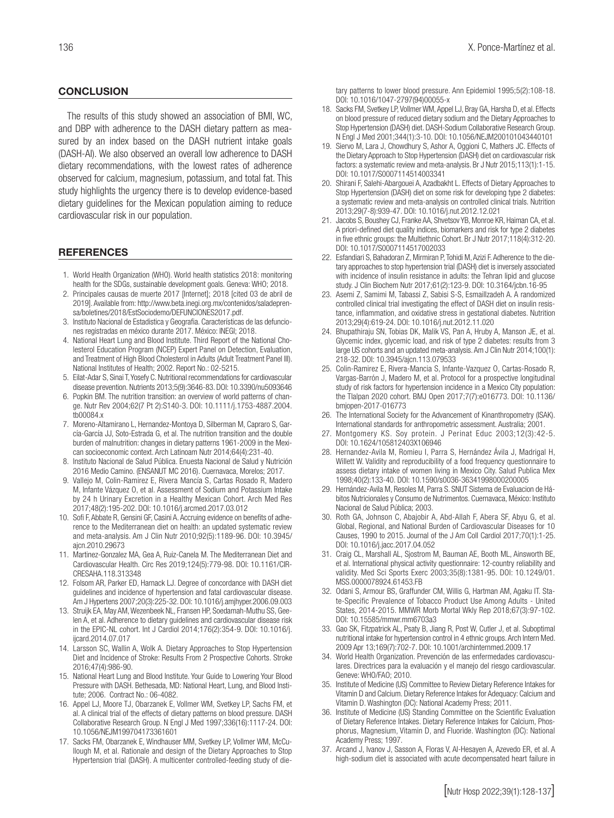#### **CONCLUSION**

The results of this study showed an association of BMI, WC, and DBP with adherence to the DASH dietary pattern as measured by an index based on the DASH nutrient intake goals (DASH-AI). We also observed an overall low adherence to DASH dietary recommendations, with the lowest rates of adherence observed for calcium, magnesium, potassium, and total fat. This study highlights the urgency there is to develop evidence-based dietary guidelines for the Mexican population aiming to reduce cardiovascular risk in our population.

#### **REFERENCES**

- 1. World Health Organization (WHO). World health statistics 2018: monitoring health for the SDGs, sustainable development goals. Geneva: WHO; 2018.
- 2. Principales causas de muerte 2017 [Internet]; 2018 [cited 03 de abril de 2019]. Available from: http://www.beta.inegi.org.mx/contenidos/saladeprensa/boletines/2018/EstSociodemo/DEFUNCIONES2017.pdf.
- 3. Instituto Nacional de Estadistica y Geografia. Características de las defunciones registradas en méxico durante 2017. México: INEGI; 2018.
- 4. National Heart Lung and Blood Institute. Third Report of the National Cholesterol Education Program (NCEP) Expert Panel on Detection, Evaluation, and Treatment of High Blood Cholesterol in Adults (Adult Treatment Panel III). National Institutes of Health; 2002. Report No.: 02-5215.
- 5. Eilat-Adar S, Sinai T, Yosefy C. Nutritional recommendations for cardiovascular disease prevention. Nutrients 2013;5(9):3646-83. DOI: 10.3390/nu5093646
- 6. Popkin BM. The nutrition transition: an overview of world patterns of change. Nutr Rev 2004;62(7 Pt 2):S140-3. DOI: 10.1111/j.1753-4887.2004. tb00084.x
- 7. Moreno-Altamirano L, Hernandez-Montoya D, Silberman M, Capraro S, García-García JJ, Soto-Estrada G, et al. The nutrition transition and the double burden of malnutrition: changes in dietary patterns 1961-2009 in the Mexican socioeconomic context. Arch Latinoam Nutr 2014;64(4):231-40.
- 8. Instituto Nacional de Salud Pública. Enuesta Nacional de Salud y Nutrición 2016 Medio Camino. (ENSANUT MC 2016). Cuernavaca, Morelos; 2017.
- 9. Vallejo M, Colin-Ramirez E, Rivera Mancía S, Cartas Rosado R, Madero M, Infante Vázquez O, et al. Assessment of Sodium and Potassium Intake by 24 h Urinary Excretion in a Healthy Mexican Cohort. Arch Med Res 2017;48(2):195-202. DOI: 10.1016/j.arcmed.2017.03.012
- 10. Sofi F, Abbate R, Gensini GF, Casini A. Accruing evidence on benefits of adherence to the Mediterranean diet on health: an updated systematic review and meta-analysis. Am J Clin Nutr 2010;92(5):1189-96. DOI: 10.3945/ ajcn.2010.29673
- 11. Martinez-Gonzalez MA, Gea A, Ruiz-Canela M. The Mediterranean Diet and Cardiovascular Health. Circ Res 2019;124(5):779-98. DOI: 10.1161/CIR-CRESAHA.118.313348
- 12. Folsom AR, Parker ED, Harnack LJ. Degree of concordance with DASH diet guidelines and incidence of hypertension and fatal cardiovascular disease. Am J Hypertens 2007;20(3):225-32. DOI: 10.1016/j.amjhyper.2006.09.003
- 13. Struijk EA, May AM, Wezenbeek NL, Fransen HP, Soedamah-Muthu SS, Geelen A, et al. Adherence to dietary guidelines and cardiovascular disease risk in the EPIC-NL cohort. Int J Cardiol 2014;176(2):354-9. DOI: 10.1016/j. ijcard.2014.07.017
- 14. Larsson SC, Wallin A, Wolk A. Dietary Approaches to Stop Hypertension Diet and Incidence of Stroke: Results From 2 Prospective Cohorts. Stroke 2016;47(4):986-90.
- 15. National Heart Lung and Blood Institute. Your Guide to Lowering Your Blood Pressure with DASH. Bethesada, MD: National Heart, Lung, and Blood Institute; 2006. Contract No.: 06-4082.
- 16. Appel LJ, Moore TJ, Obarzanek E, Vollmer WM, Svetkey LP, Sachs FM, et al. A clinical trial of the effects of dietary patterns on blood pressure. DASH Collaborative Research Group. N Engl J Med 1997;336(16):1117-24. DOI: 10.1056/NEJM199704173361601
- 17. Sacks FM, Obarzanek E, Windhauser MM, Svetkey LP, Vollmer WM, McCullough M, et al. Rationale and design of the Dietary Approaches to Stop Hypertension trial (DASH). A multicenter controlled-feeding study of die-

tary patterns to lower blood pressure. Ann Epidemiol 1995;5(2):108-18. DOI: 10.1016/1047-2797(94)00055-x

- 18. Sacks FM, Svetkey LP, Vollmer WM, Appel LJ, Bray GA, Harsha D, et al. Effects on blood pressure of reduced dietary sodium and the Dietary Approaches to Stop Hypertension (DASH) diet. DASH-Sodium Collaborative Research Group. N Engl J Med 2001;344(1):3-10. DOI: 10.1056/NEJM200101043440101
- 19. Siervo M, Lara J, Chowdhury S, Ashor A, Oggioni C, Mathers JC. Effects of the Dietary Approach to Stop Hypertension (DASH) diet on cardiovascular risk factors: a systematic review and meta-analysis. Br J Nutr 2015;113(1):1-15. DOI: 10.1017/S0007114514003341
- 20. Shirani F, Salehi-Abargouei A, Azadbakht L. Effects of Dietary Approaches to Stop Hypertension (DASH) diet on some risk for developing type 2 diabetes: a systematic review and meta-analysis on controlled clinical trials. Nutrition 2013;29(7-8):939-47. DOI: 10.1016/j.nut.2012.12.021
- 21. Jacobs S, Boushey CJ, Franke AA, Shvetsov YB, Monroe KR, Haiman CA, et al. A priori-defined diet quality indices, biomarkers and risk for type 2 diabetes in five ethnic groups: the Multiethnic Cohort. Br J Nutr 2017;118(4):312-20. DOI: 10.1017/S0007114517002033
- 22. Esfandiari S, Bahadoran Z, Mirmiran P, Tohidi M, Azizi F. Adherence to the dietary approaches to stop hypertension trial (DASH) diet is inversely associated with incidence of insulin resistance in adults: the Tehran lipid and glucose study. J Clin Biochem Nutr 2017;61(2):123-9. DOI: 10.3164/jcbn.16-95
- 23. Asemi Z, Samimi M, Tabassi Z, Sabisi S-S, Esmaillzadeh A. A randomized controlled clinical trial investigating the effect of DASH diet on insulin resistance, inflammation, and oxidative stress in gestational diabetes. Nutrition 2013;29(4):619-24. DOI: 10.1016/j.nut.2012.11.020
- 24. Bhupathiraju SN, Tobias DK, Malik VS, Pan A, Hruby A, Manson JE, et al. Glycemic index, glycemic load, and risk of type 2 diabetes: results from 3 large US cohorts and an updated meta-analysis. Am J Clin Nutr 2014;100(1): 218-32. DOI: 10.3945/ajcn.113.079533
- 25. Colin-Ramirez E, Rivera-Mancia S, Infante-Vazquez O, Cartas-Rosado R, Vargas-Barrón J, Madero M, et al. Protocol for a prospective longitudinal study of risk factors for hypertension incidence in a Mexico City population: the Tlalpan 2020 cohort. BMJ Open 2017;7(7):e016773. DOI: 10.1136/ bmjopen-2017-016773
- 26. The International Society for the Advancement of Kinanthropometry (ISAK). International standards for anthropometric assessment. Australia; 2001.
- 27. Montgomery KS. Soy protein. J Perinat Educ 2003;12(3):42-5. DOI: 10.1624/105812403X106946
- 28. Hernandez-Avila M, Romieu I, Parra S, Hernández Ávila J, Madrigal H, Willett W. Validity and reproducibility of a food frequency questionnaire to assess dietary intake of women living in Mexico City. Salud Publica Mex 1998;40(2):133-40. DOI: 10.1590/s0036-36341998000200005
- 29. Hernández-Avila M, Resoles M, Parra S. SNUT Sistema de Evaluacion de Há bitos Nutricionales y Consumo de Nutrimentos. Cuernavaca, México: Instituto Nacional de Salud Pública; 2003.
- 30. Roth GA, Johnson C, Abajobir A, Abd-Allah F, Abera SF, Abyu G, et al. Global, Regional, and National Burden of Cardiovascular Diseases for 10 Causes, 1990 to 2015. Journal of the J Am Coll Cardiol 2017;70(1):1-25. DOI: 10.1016/j.jacc.2017.04.052
- 31. Craig CL, Marshall AL, Sjostrom M, Bauman AE, Booth ML, Ainsworth BE, et al. International physical activity questionnaire: 12-country reliability and validity. Med Sci Sports Exerc 2003;35(8):1381-95. DOI: 10.1249/01. MSS.0000078924.61453.FB
- 32. Odani S, Armour BS, Graffunder CM, Willis G, Hartman AM, Agaku IT. State-Specific Prevalence of Tobacco Product Use Among Adults - United States, 2014-2015. MMWR Morb Mortal Wkly Rep 2018;67(3):97-102. DOI: 10.15585/mmwr.mm6703a3
- 33. Gao SK, Fitzpatrick AL, Psaty B, Jiang R, Post W, Cutler J, et al. Suboptimal nutritional intake for hypertension control in 4 ethnic groups. Arch Intern Med. 2009 Apr 13;169(7):702-7. DOI: 10.1001/archinternmed.2009.17
- 34. World Health Organization. Prevención de las enfermedades cardiovasculares. Directrices para la evaluación y el manejo del riesgo cardiovascular. Geneve: WHO/FAO; 2010.
- 35. Institute of Medicine (US) Committee to Review Dietary Reference Intakes for Vitamin D and Calcium. Dietary Reference Intakes for Adequacy: Calcium and Vitamin D. Washington (DC): National Academy Press; 2011.
- 36. Institute of Medicine (US) Standing Committee on the Scientific Evaluation of Dietary Reference Intakes. Dietary Reference Intakes for Calcium, Phosphorus, Magnesium, Vitamin D, and Fluoride. Washington (DC): National Academy Press; 1997.
- 37. Arcand J, Ivanov J, Sasson A, Floras V, Al-Hesayen A, Azevedo ER, et al. A high-sodium diet is associated with acute decompensated heart failure in